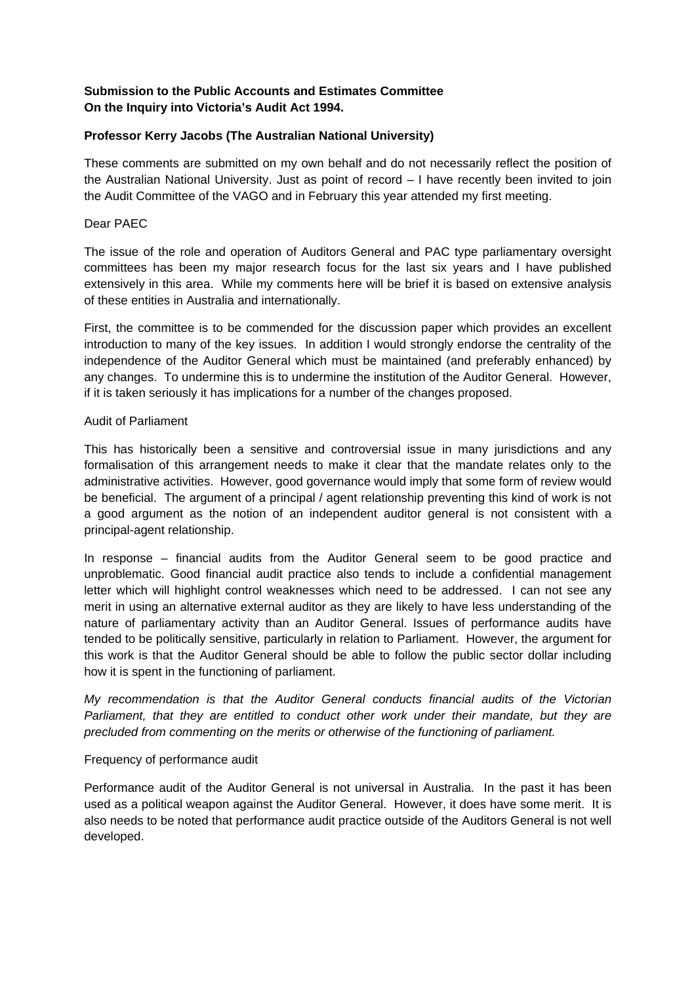# **Submission to the Public Accounts and Estimates Committee On the Inquiry into Victoria's Audit Act 1994.**

# **Professor Kerry Jacobs (The Australian National University)**

These comments are submitted on my own behalf and do not necessarily reflect the position of the Australian National University. Just as point of record – I have recently been invited to join the Audit Committee of the VAGO and in February this year attended my first meeting.

### Dear PAEC

The issue of the role and operation of Auditors General and PAC type parliamentary oversight committees has been my major research focus for the last six years and I have published extensively in this area. While my comments here will be brief it is based on extensive analysis of these entities in Australia and internationally.

First, the committee is to be commended for the discussion paper which provides an excellent introduction to many of the key issues. In addition I would strongly endorse the centrality of the independence of the Auditor General which must be maintained (and preferably enhanced) by any changes. To undermine this is to undermine the institution of the Auditor General. However, if it is taken seriously it has implications for a number of the changes proposed.

## Audit of Parliament

This has historically been a sensitive and controversial issue in many jurisdictions and any formalisation of this arrangement needs to make it clear that the mandate relates only to the administrative activities. However, good governance would imply that some form of review would be beneficial. The argument of a principal / agent relationship preventing this kind of work is not a good argument as the notion of an independent auditor general is not consistent with a principal-agent relationship.

In response – financial audits from the Auditor General seem to be good practice and unproblematic. Good financial audit practice also tends to include a confidential management letter which will highlight control weaknesses which need to be addressed. I can not see any merit in using an alternative external auditor as they are likely to have less understanding of the nature of parliamentary activity than an Auditor General. Issues of performance audits have tended to be politically sensitive, particularly in relation to Parliament. However, the argument for this work is that the Auditor General should be able to follow the public sector dollar including how it is spent in the functioning of parliament.

*My recommendation is that the Auditor General conducts financial audits of the Victorian Parliament, that they are entitled to conduct other work under their mandate, but they are precluded from commenting on the merits or otherwise of the functioning of parliament.* 

# Frequency of performance audit

Performance audit of the Auditor General is not universal in Australia. In the past it has been used as a political weapon against the Auditor General. However, it does have some merit. It is also needs to be noted that performance audit practice outside of the Auditors General is not well developed.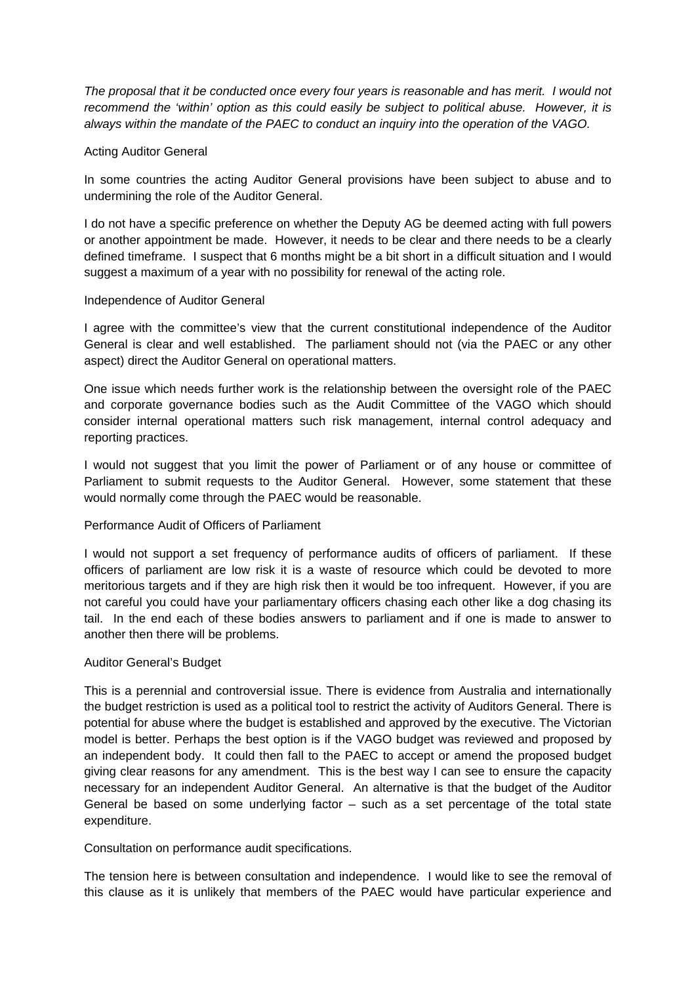*The proposal that it be conducted once every four years is reasonable and has merit. I would not recommend the 'within' option as this could easily be subject to political abuse. However, it is always within the mandate of the PAEC to conduct an inquiry into the operation of the VAGO.* 

#### Acting Auditor General

In some countries the acting Auditor General provisions have been subject to abuse and to undermining the role of the Auditor General.

I do not have a specific preference on whether the Deputy AG be deemed acting with full powers or another appointment be made. However, it needs to be clear and there needs to be a clearly defined timeframe. I suspect that 6 months might be a bit short in a difficult situation and I would suggest a maximum of a year with no possibility for renewal of the acting role.

#### Independence of Auditor General

I agree with the committee's view that the current constitutional independence of the Auditor General is clear and well established. The parliament should not (via the PAEC or any other aspect) direct the Auditor General on operational matters.

One issue which needs further work is the relationship between the oversight role of the PAEC and corporate governance bodies such as the Audit Committee of the VAGO which should consider internal operational matters such risk management, internal control adequacy and reporting practices.

I would not suggest that you limit the power of Parliament or of any house or committee of Parliament to submit requests to the Auditor General. However, some statement that these would normally come through the PAEC would be reasonable.

### Performance Audit of Officers of Parliament

I would not support a set frequency of performance audits of officers of parliament. If these officers of parliament are low risk it is a waste of resource which could be devoted to more meritorious targets and if they are high risk then it would be too infrequent. However, if you are not careful you could have your parliamentary officers chasing each other like a dog chasing its tail. In the end each of these bodies answers to parliament and if one is made to answer to another then there will be problems.

#### Auditor General's Budget

This is a perennial and controversial issue. There is evidence from Australia and internationally the budget restriction is used as a political tool to restrict the activity of Auditors General. There is potential for abuse where the budget is established and approved by the executive. The Victorian model is better. Perhaps the best option is if the VAGO budget was reviewed and proposed by an independent body. It could then fall to the PAEC to accept or amend the proposed budget giving clear reasons for any amendment. This is the best way I can see to ensure the capacity necessary for an independent Auditor General. An alternative is that the budget of the Auditor General be based on some underlying factor  $-$  such as a set percentage of the total state expenditure.

Consultation on performance audit specifications.

The tension here is between consultation and independence. I would like to see the removal of this clause as it is unlikely that members of the PAEC would have particular experience and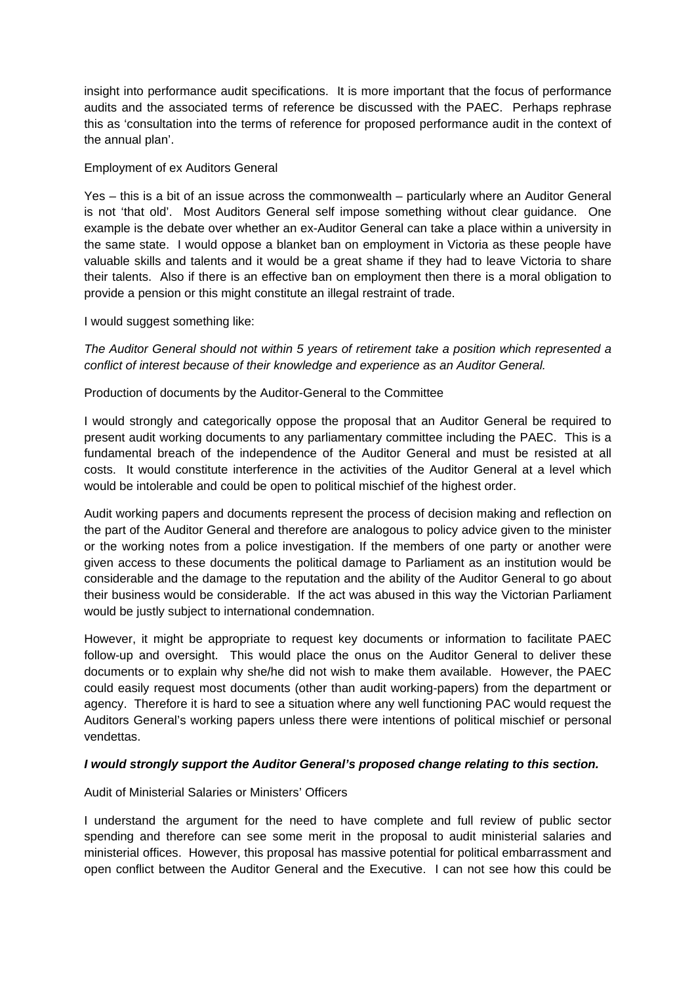insight into performance audit specifications. It is more important that the focus of performance audits and the associated terms of reference be discussed with the PAEC. Perhaps rephrase this as 'consultation into the terms of reference for proposed performance audit in the context of the annual plan'.

### Employment of ex Auditors General

Yes – this is a bit of an issue across the commonwealth – particularly where an Auditor General is not 'that old'. Most Auditors General self impose something without clear guidance. One example is the debate over whether an ex-Auditor General can take a place within a university in the same state. I would oppose a blanket ban on employment in Victoria as these people have valuable skills and talents and it would be a great shame if they had to leave Victoria to share their talents. Also if there is an effective ban on employment then there is a moral obligation to provide a pension or this might constitute an illegal restraint of trade.

#### I would suggest something like:

*The Auditor General should not within 5 years of retirement take a position which represented a conflict of interest because of their knowledge and experience as an Auditor General.* 

## Production of documents by the Auditor-General to the Committee

I would strongly and categorically oppose the proposal that an Auditor General be required to present audit working documents to any parliamentary committee including the PAEC. This is a fundamental breach of the independence of the Auditor General and must be resisted at all costs. It would constitute interference in the activities of the Auditor General at a level which would be intolerable and could be open to political mischief of the highest order.

Audit working papers and documents represent the process of decision making and reflection on the part of the Auditor General and therefore are analogous to policy advice given to the minister or the working notes from a police investigation. If the members of one party or another were given access to these documents the political damage to Parliament as an institution would be considerable and the damage to the reputation and the ability of the Auditor General to go about their business would be considerable. If the act was abused in this way the Victorian Parliament would be justly subject to international condemnation.

However, it might be appropriate to request key documents or information to facilitate PAEC follow-up and oversight. This would place the onus on the Auditor General to deliver these documents or to explain why she/he did not wish to make them available. However, the PAEC could easily request most documents (other than audit working-papers) from the department or agency. Therefore it is hard to see a situation where any well functioning PAC would request the Auditors General's working papers unless there were intentions of political mischief or personal vendettas.

#### *I would strongly support the Auditor General's proposed change relating to this section.*

#### Audit of Ministerial Salaries or Ministers' Officers

I understand the argument for the need to have complete and full review of public sector spending and therefore can see some merit in the proposal to audit ministerial salaries and ministerial offices. However, this proposal has massive potential for political embarrassment and open conflict between the Auditor General and the Executive. I can not see how this could be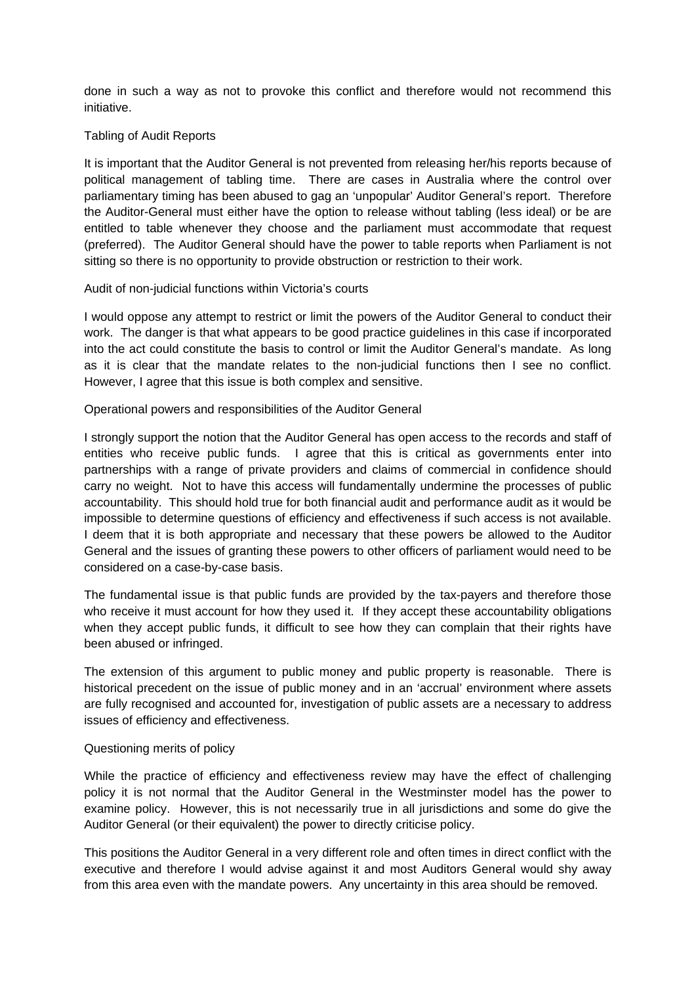done in such a way as not to provoke this conflict and therefore would not recommend this initiative.

### Tabling of Audit Reports

It is important that the Auditor General is not prevented from releasing her/his reports because of political management of tabling time. There are cases in Australia where the control over parliamentary timing has been abused to gag an 'unpopular' Auditor General's report. Therefore the Auditor-General must either have the option to release without tabling (less ideal) or be are entitled to table whenever they choose and the parliament must accommodate that request (preferred). The Auditor General should have the power to table reports when Parliament is not sitting so there is no opportunity to provide obstruction or restriction to their work.

#### Audit of non-judicial functions within Victoria's courts

I would oppose any attempt to restrict or limit the powers of the Auditor General to conduct their work. The danger is that what appears to be good practice guidelines in this case if incorporated into the act could constitute the basis to control or limit the Auditor General's mandate. As long as it is clear that the mandate relates to the non-judicial functions then I see no conflict. However, I agree that this issue is both complex and sensitive.

## Operational powers and responsibilities of the Auditor General

I strongly support the notion that the Auditor General has open access to the records and staff of entities who receive public funds. I agree that this is critical as governments enter into partnerships with a range of private providers and claims of commercial in confidence should carry no weight. Not to have this access will fundamentally undermine the processes of public accountability. This should hold true for both financial audit and performance audit as it would be impossible to determine questions of efficiency and effectiveness if such access is not available. I deem that it is both appropriate and necessary that these powers be allowed to the Auditor General and the issues of granting these powers to other officers of parliament would need to be considered on a case-by-case basis.

The fundamental issue is that public funds are provided by the tax-payers and therefore those who receive it must account for how they used it. If they accept these accountability obligations when they accept public funds, it difficult to see how they can complain that their rights have been abused or infringed.

The extension of this argument to public money and public property is reasonable. There is historical precedent on the issue of public money and in an 'accrual' environment where assets are fully recognised and accounted for, investigation of public assets are a necessary to address issues of efficiency and effectiveness.

#### Questioning merits of policy

While the practice of efficiency and effectiveness review may have the effect of challenging policy it is not normal that the Auditor General in the Westminster model has the power to examine policy. However, this is not necessarily true in all jurisdictions and some do give the Auditor General (or their equivalent) the power to directly criticise policy.

This positions the Auditor General in a very different role and often times in direct conflict with the executive and therefore I would advise against it and most Auditors General would shy away from this area even with the mandate powers. Any uncertainty in this area should be removed.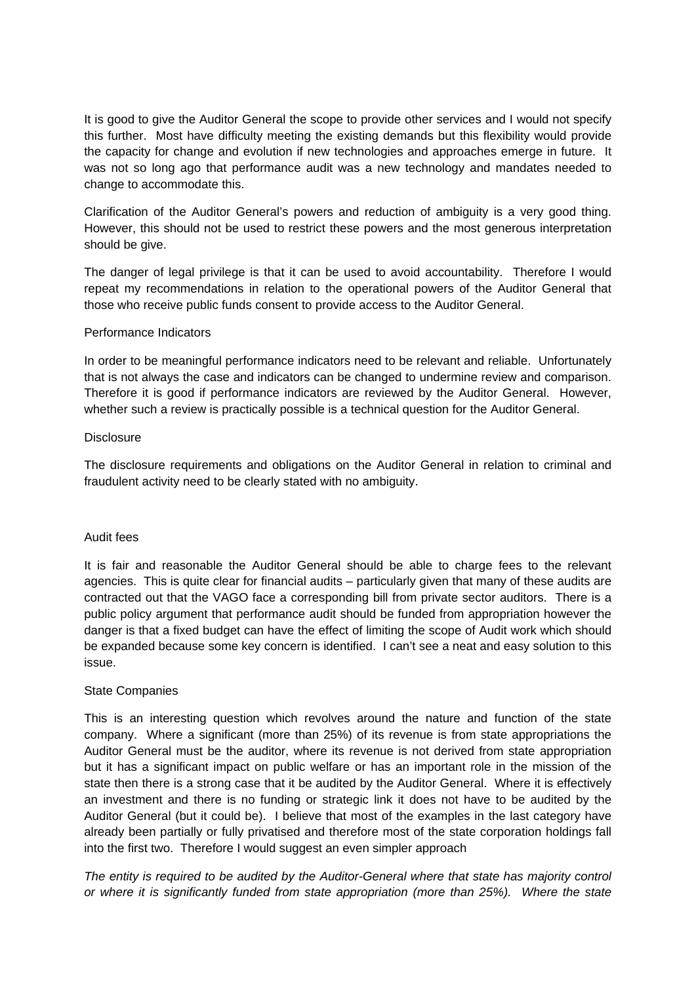It is good to give the Auditor General the scope to provide other services and I would not specify this further. Most have difficulty meeting the existing demands but this flexibility would provide the capacity for change and evolution if new technologies and approaches emerge in future. It was not so long ago that performance audit was a new technology and mandates needed to change to accommodate this.

Clarification of the Auditor General's powers and reduction of ambiguity is a very good thing. However, this should not be used to restrict these powers and the most generous interpretation should be give.

The danger of legal privilege is that it can be used to avoid accountability. Therefore I would repeat my recommendations in relation to the operational powers of the Auditor General that those who receive public funds consent to provide access to the Auditor General.

#### Performance Indicators

In order to be meaningful performance indicators need to be relevant and reliable. Unfortunately that is not always the case and indicators can be changed to undermine review and comparison. Therefore it is good if performance indicators are reviewed by the Auditor General. However, whether such a review is practically possible is a technical question for the Auditor General.

#### **Disclosure**

The disclosure requirements and obligations on the Auditor General in relation to criminal and fraudulent activity need to be clearly stated with no ambiguity.

#### Audit fees

It is fair and reasonable the Auditor General should be able to charge fees to the relevant agencies. This is quite clear for financial audits – particularly given that many of these audits are contracted out that the VAGO face a corresponding bill from private sector auditors. There is a public policy argument that performance audit should be funded from appropriation however the danger is that a fixed budget can have the effect of limiting the scope of Audit work which should be expanded because some key concern is identified. I can't see a neat and easy solution to this issue.

#### State Companies

This is an interesting question which revolves around the nature and function of the state company. Where a significant (more than 25%) of its revenue is from state appropriations the Auditor General must be the auditor, where its revenue is not derived from state appropriation but it has a significant impact on public welfare or has an important role in the mission of the state then there is a strong case that it be audited by the Auditor General. Where it is effectively an investment and there is no funding or strategic link it does not have to be audited by the Auditor General (but it could be). I believe that most of the examples in the last category have already been partially or fully privatised and therefore most of the state corporation holdings fall into the first two. Therefore I would suggest an even simpler approach

*The entity is required to be audited by the Auditor-General where that state has majority control or where it is significantly funded from state appropriation (more than 25%). Where the state*